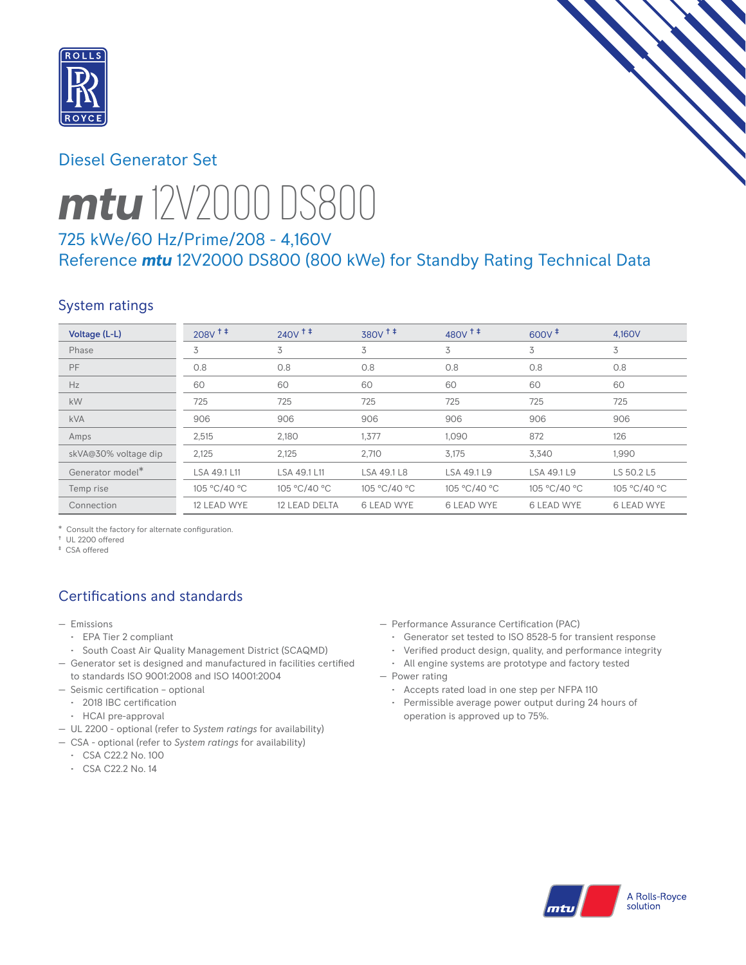

# Diesel Generator Set



# *mtu* 12V2000 DS800

# 725 kWe/60 Hz/Prime/208 - 4,160V Reference *mtu* 12V2000 DS800 (800 kWe) for Standby Rating Technical Data

# System ratings

| Voltage (L-L)        | $208V$ <sup>++</sup> | $240V$ <sup>++</sup> | $380V$ <sup><math>+</math></sup> | $480V$ <sup>++</sup> | $600V^+$          | 4.160V            |
|----------------------|----------------------|----------------------|----------------------------------|----------------------|-------------------|-------------------|
| Phase                | 3                    | 3                    | 3                                | 3                    | 3                 | 3                 |
| PF                   | 0.8                  | 0.8                  | 0.8                              | 0.8                  | 0.8               | 0.8               |
| Hz                   | 60                   | 60                   | 60                               | 60                   | 60                | 60                |
| kW                   | 725                  | 725                  | 725                              | 725                  | 725               | 725               |
| <b>kVA</b>           | 906                  | 906                  | 906                              | 906                  | 906               | 906               |
| Amps                 | 2,515                | 2.180                | 1.377                            | 1.090                | 872               | 126               |
| skVA@30% voltage dip | 2,125                | 2,125                | 2,710                            | 3,175                | 3,340             | 1,990             |
| Generator model*     | LSA 49.1 L11         | LSA 49.1 L11         | LSA 49.1 L8                      | LSA 49.1 L9          | LSA 49.1 L9       | LS 50.2 L5        |
| Temp rise            | 105 °C/40 °C         | 105 °C/40 °C         | 105 °C/40 °C                     | 105 °C/40 °C         | 105 °C/40 °C      | 105 °C/40 °C      |
| Connection           | 12 LEAD WYE          | 12 LEAD DELTA        | <b>6 LEAD WYE</b>                | <b>6 LEAD WYE</b>    | <b>6 LEAD WYE</b> | <b>6 LEAD WYE</b> |

\* Consult the factory for alternate configuration.

† UL 2200 offered

‡ CSA offered

# Certifications and standards

- Emissions
	- EPA Tier 2 compliant
	- South Coast Air Quality Management District (SCAQMD)
- Generator set is designed and manufactured in facilities certified to standards ISO 9001:2008 and ISO 14001:2004
- Seismic certification optional
	- 2018 IBC certification
	- HCAI pre-approval
- UL 2200 optional (refer to *System ratings* for availability)
- CSA optional (refer to *System ratings* for availability)
	- CSA C22.2 No. 100
	- CSA C22.2 No. 14
- Performance Assurance Certification (PAC)
	- Generator set tested to ISO 8528-5 for transient response
	- Verified product design, quality, and performance integrity
- All engine systems are prototype and factory tested — Power rating
	- Accepts rated load in one step per NFPA 110
	- Permissible average power output during 24 hours of operation is approved up to 75%.

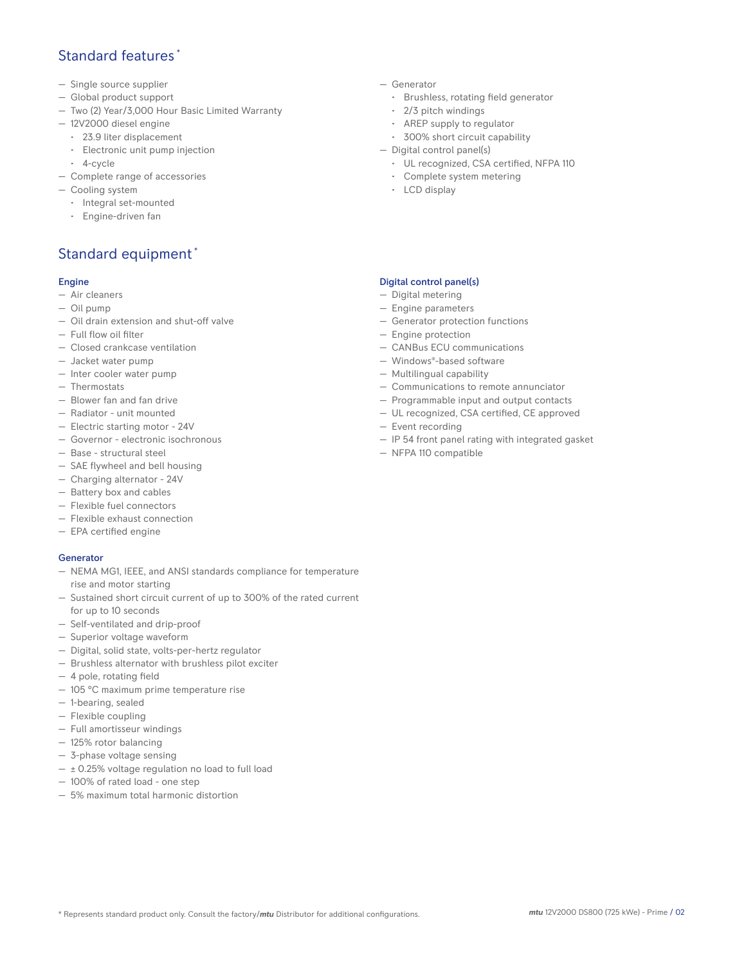#### Standard features \*

- Single source supplier
- Global product support
- Two (2) Year/3,000 Hour Basic Limited Warranty
- 12V2000 diesel engine
	- 23.9 liter displacement
	- Electronic unit pump injection
- 4-cycle
- Complete range of accessories
- Cooling system
	- Integral set-mounted
	- Engine-driven fan

# Standard equipment \*

#### Engine

- Air cleaners
- Oil pump
- Oil drain extension and shut-off valve
- Full flow oil filter
- Closed crankcase ventilation
- Jacket water pump
- Inter cooler water pump
- Thermostats
- Blower fan and fan drive
- Radiator unit mounted
- Electric starting motor 24V
- Governor electronic isochronous
- Base structural steel
- SAE flywheel and bell housing
- Charging alternator 24V
- Battery box and cables
- Flexible fuel connectors
- Flexible exhaust connection
- EPA certified engine

#### **Generator**

- NEMA MG1, IEEE, and ANSI standards compliance for temperature rise and motor starting
- Sustained short circuit current of up to 300% of the rated current for up to 10 seconds
- Self-ventilated and drip-proof
- Superior voltage waveform
- Digital, solid state, volts-per-hertz regulator
- Brushless alternator with brushless pilot exciter
- 4 pole, rotating field
- 105 °C maximum prime temperature rise
- 1-bearing, sealed
- Flexible coupling
- Full amortisseur windings
- 125% rotor balancing
- 3-phase voltage sensing
- $\pm$  0.25% voltage regulation no load to full load
- 100% of rated load one step
- 5% maximum total harmonic distortion
- Generator
	- Brushless, rotating field generator
	- 2/3 pitch windings
	- AREP supply to regulator
	- 300% short circuit capability
- Digital control panel(s)
	- UL recognized, CSA certified, NFPA 110
	- Complete system metering
	- LCD display

#### Digital control panel(s)

- Digital metering
- Engine parameters
- Generator protection functions
- Engine protection
- CANBus ECU communications
- Windows®-based software
- Multilingual capability
- Communications to remote annunciator
- Programmable input and output contacts
- UL recognized, CSA certified, CE approved
- Event recording
- IP 54 front panel rating with integrated gasket
- NFPA 110 compatible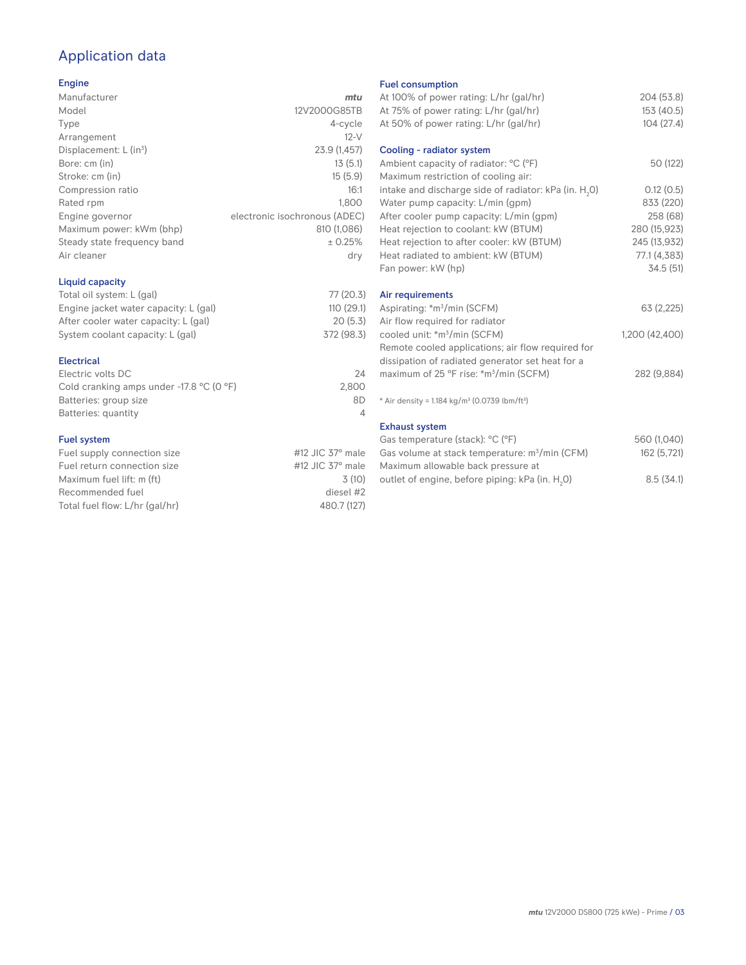# Application data

#### Engine

| Manufacturer                         | mtu                           |
|--------------------------------------|-------------------------------|
| Model                                | 12V2000G85TB                  |
| Type                                 | 4-cycle                       |
| Arrangement                          | $12-V$                        |
| Displacement: $L$ (in <sup>3</sup> ) | 23.9 (1,457)                  |
| Bore: cm (in)                        | 13(5.1)                       |
| Stroke: cm (in)                      | 15(5.9)                       |
| Compression ratio                    | 16:1                          |
| Rated rpm                            | 1.800                         |
| Engine governor                      | electronic isochronous (ADEC) |
| Maximum power: kWm (bhp)             | 810 (1,086)                   |
| Steady state frequency band          | ± 0.25%                       |
| Air cleaner                          | dry                           |
| Liquid capacity                      |                               |

| Total oil system: L (gal)             | 77 (20.3)  |
|---------------------------------------|------------|
| Engine jacket water capacity: L (gal) | 110(29.1)  |
| After cooler water capacity: L (gal)  | 20(5.3)    |
| System coolant capacity: L (gal)      | 372 (98.3) |
|                                       |            |

#### Electrical

| Electric volts DC                                            | 24    |
|--------------------------------------------------------------|-------|
| Cold cranking amps under -17.8 $^{\circ}$ C (O $^{\circ}$ F) | 2.800 |
| Batteries: group size                                        | 8D    |
| Batteries: quantity                                          |       |

#### Fuel system

| Fuel supply connection size    | #12 JIC $37^\circ$ male |
|--------------------------------|-------------------------|
| Fuel return connection size    | #12 JIC $37^\circ$ male |
| Maximum fuel lift: m (ft)      | 3(10)                   |
| Recommended fuel               | diesel #2               |
| Total fuel flow: L/hr (gal/hr) | 480.7 (127)             |

#### Fuel consumption

| At 100% of power rating: L/hr (gal/hr)<br>At 75% of power rating: L/hr (gal/hr)<br>At 50% of power rating: L/hr (gal/hr) | 204 (53.8)<br>153 (40.5)<br>104(27.4) |
|--------------------------------------------------------------------------------------------------------------------------|---------------------------------------|
| Cooling - radiator system<br>Ambient capacity of radiator: °C (°F)                                                       | 50 (122)                              |
| Maximum restriction of cooling air:                                                                                      |                                       |
| intake and discharge side of radiator: kPa (in. H <sub>2</sub> O)                                                        | 0.12(0.5)                             |
| Water pump capacity: L/min (gpm)                                                                                         | 833 (220)                             |
| After cooler pump capacity: L/min (gpm)                                                                                  | 258 (68)                              |
| Heat rejection to coolant: kW (BTUM)                                                                                     | 280 (15,923)                          |
| Heat rejection to after cooler: kW (BTUM)                                                                                | 245 (13,932)                          |
| Heat radiated to ambient: kW (BTUM)                                                                                      | 77.1 (4,383)                          |
| Fan power: kW (hp)                                                                                                       | 34.5 (51)                             |
| Air requirements                                                                                                         |                                       |
| Aspirating: *m <sup>3</sup> /min (SCFM)                                                                                  | 63 (2,225)                            |
| Air flow required for radiator                                                                                           |                                       |
| cooled unit: *m <sup>3</sup> /min (SCFM)                                                                                 | 1,200 (42,400)                        |
| Remote cooled applications; air flow required for                                                                        |                                       |
| dissipation of radiated generator set heat for a                                                                         |                                       |
| maximum of 25 °F rise: *m <sup>3</sup> /min (SCFM)                                                                       | 282 (9,884)                           |
| * Air density = 1.184 kg/m <sup>3</sup> (0.0739 lbm/ft <sup>3</sup> )                                                    |                                       |
| <b>Exhaust system</b>                                                                                                    |                                       |
| Gas temperature (stack): °C (°F)                                                                                         | 560 (1,040)                           |
| Gas volume at stack temperature: m <sup>3</sup> /min (CFM)                                                               | 162 (5,721)                           |
| Maximum allowable back pressure at                                                                                       |                                       |
| outlet of engine, before piping: kPa (in. H <sub>2</sub> 0)                                                              | 8.5(34.1)                             |

outlet of engine, before piping: kPa (in.  ${\sf H}_{_2}$